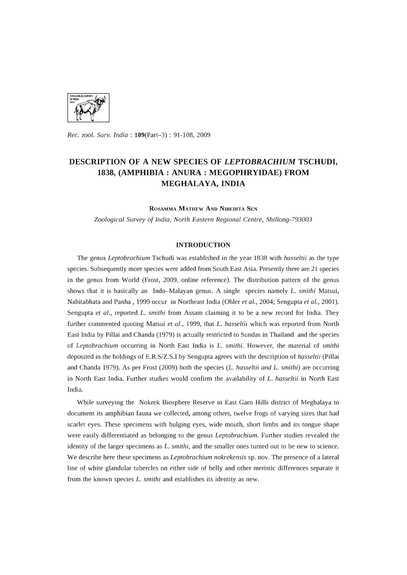

*Rec. zool. Surv. India:* 109(Part-3) : 91-108, 2009

# **DESCRIPTION OF A NEW SPECIES OF** *LEPTOBRACHIUM* **TSCHUDI, 1838, (AMPHIBIA: ANURA: MEGOPHRYIDAE) FROM MEGHALAYA, INDIA**

ROSAMMA MATHEW AND NIBEDITA SEN

*Zoological Survey* of *India, North Eastern Regional Centre, Shillong-793003* 

#### **INTRODUCTION**

The genus *Leptobrachium* Tschudi was established in the year 1838 with *hasseltii* as the type species. Subsequently more species were added from South East Asia. Presently there are 21 species in the genus from World (Frost, 2009, online reference). The distribution pattern of the genus shows that it is basically an Indo-Malayan genus. A single species namely *L. smithi* Matsui, Nabitabhata and Panha , 1999 occur in Northeast India (Ohler *et al.,* 2004; Sengupta *et al., 2001).*  Sengupta *et al.,* reported *L. smithi* from Assam claiming it to be a new record for India. They further commented quoting Matsui *et al.,* 1999, that *L. hasseltii* which was reported from North East India by Pillai and Chanda (1979) is actually restricted to Sundas in Thailand and the species of *Leptobrachium* occurring in North East India is *L. smithi.* However, the material of *smithi*  deposited in the holdings of E.R.S/Z.S.I by Sengupta agrees with the description of *hasseltii* (Pillai and Chanda 1979). As per Frost (2009) both the species (L. *hasseltii and* L. *smithi)* are occurring in North East India. Further studies would confirm the availability of L. *hasseltii* in North East India.

While surveying the Nokrek Biosphere Reserve in East Garo Hills district of Meghalaya to document its amphibian fauna we collected, among others, twelve frogs of varying sizes that had scarlet eyes. These specimens with bulging eyes, wide mouth, short limbs and its tongue shape were easily differentiated as belonging to the genus *Leptobrachium.* Further studies revealed the identity of the larger specimens as *L. smithi,* and the smaller ones turned out to be new to science. We describe here these specimens as *Leptobrachium nokrekensis* sp. nov. The presence of a lateral line of white glandular tubercles on either side of belly and other meristic differences separate it from the known species L. *smithi* and establishes its identity as new.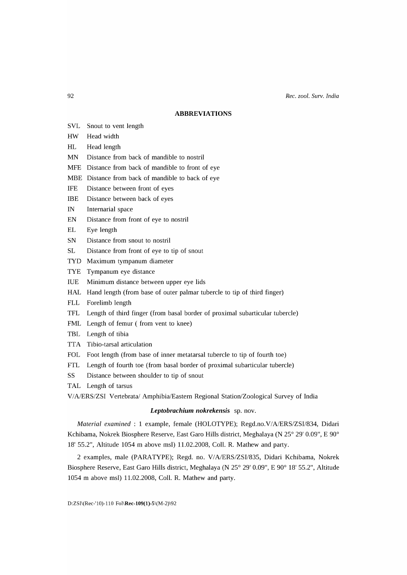# **ABBREVIATIONS**

- SVL Snout to vent length
- HW Head width
- HL Head length
- MN Distance from back of mandible to nostril
- MFE Distance from back of mandible to front of eye
- MBE Distance from back of mandible to back of eye
- IFE Distance between front of eyes
- IBE Distance between back of eyes
- IN Internarial space
- EN Distance from front of eye to nostril
- EL Eye length
- SN Distance from snout to nostril
- SL Distance from front of eye to tip of snout
- TYD Maximum tympanum diameter
- TYE Tympanum eye distance
- IUE Minimum distance between upper eye lids
- HAL Hand length (from base of outer palmar tubercle to tip of third finger)
- FLL Forelimb length
- TFL Length of third finger (from basal border of proximal subarticular tubercle)
- FML Length of femur ( from vent to knee)
- TBL Length of tibia
- TTA Tibio-tarsal articulation
- FOL Foot length (from base of inner metatarsal tubercle to tip of fourth toe)
- FTL Length of fourth toe (from basal border of proximal subarticular tubercle)
- SS Distance between shoulder to tip of snout
- TAL Length of tarsus

V/A/ERS/ZSI Vertebrata/ Amphibia/Eastern Regional Station/Zoological Survey of India

# *Leptobrachium nokrekensis* sp. nov.

*Material examined:* 1 example, female (HOLOTYPE); Regd.no.V/A/ERS/ZSI/834, Didari Kchibama, Nokrek Biosphere Reserve, East Garo Hills district, Meghalaya (N 25° 29' 0.09", E 90° 18' 55.2", Altitude 1054 m above msl) 11.02.2008, ColI. R. Mathew and party.

2 examples, male (PARATYPE); Regd. no. V/A/ERS/ZSI/835, Didari Kchibama, Nokrek Biosphere Reserve, East Garo Hills district, Meghalaya (N 25° 29' 0.09", E 90° 18' 55.2", Altitude 1054 m above msl) 11.02.2008, ColI. R. Mathew and party.

92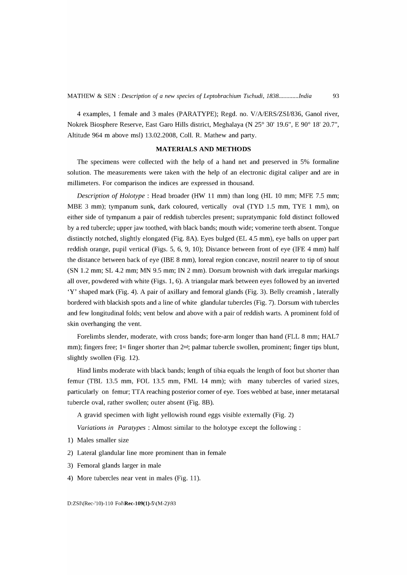4 examples, 1 female and 3 males (PARATYPE); Regd. no. V/A/ERS/ZSI/836, Ganol river, Nokrek Biosphere Reserve, East Garo Hills district, Meghalaya (N 25° 30' 19.6", E 90° IS' 20.7", Altitude 964 m above msl) 13.02.200S, ColI. R. Mathew and party.

# **MATERIALS AND METHODS**

The specimens were collected with the help of a hand net and preserved in 5% formaline solution. The measurements were taken with the help of an electronic digital caliper and are in millimeters. For comparison the indices are expressed in thousand.

*Description* of *Ho[otype* : Head broader (HW 11 mm) than long (HL 10 mm; MFE 7.5 mm; MBE 3 mm); tympanum sunk, dark coloured, vertically oval (TYD 1.5 mm, TYE 1 mm), on either side of tympanum a pair of reddish tubercles present; supratympanic fold distinct followed by a red tubercle; upper jaw toothed, with black bands; mouth wide; vomerine teeth absent. Tongue distinctly notched, slightly elongated (Fig. SA). Eyes bulged (EL 4.5 mm), eye balls on upper part reddish orange, pupil vertical (Figs. 5, 6, 9, 10); Distance between front of eye (lFE 4 mm) half the distance between back of eye (lBE S mm), loreal region concave, nostril nearer to tip of snout (SN 1.2 mm; SL 4.2 mm; MN 9.5 mm; IN 2 mm). Dorsum brownish with dark irregular markings all over, powdered with white (Figs. 1, 6). A triangular mark between eyes followed by an inverted 'V' shaped mark (Fig. 4). A pair of axillary and femoral glands (Fig. 3). Belly creamish , laterally bordered with blackish spots and a line of white glandular tubercles (Fig. 7). Dorsum with tubercles and few longitudinal folds; vent below and above with a pair of reddish warts. A prominent fold of skin overhanging the vent.

Forelimbs slender, moderate, with cross bands; fore-arm longer than hand (FLL 8 mm; HAL7 mm); fingers free; 1<sup>st</sup> finger shorter than  $2<sup>nd</sup>$ ; palmar tubercle swollen, prominent; finger tips blunt, slightly swollen (Fig. 12).

Hind limbs moderate with black bands; length of tibia equals the length of foot but shorter than femur (TBL 13.5 mm, FOL 13.5 mm, FML 14 mm); with many tubercles of varied sizes, particularly on femur; TTA reaching posterior corner of eye. Toes webbed at base, inner metatarsal tubercle oval, rather swollen; outer absent (Fig. SB).

A gravid specimen with light yellowish round eggs visible externally (Fig. 2)

*Variations in Paratypes : Almost similar to the holotype except the following :* 

- 1) Males smaller size
- 2) Lateral glandular line more prominent than in female
- 3) Femoral glands larger in male
- 4) More tubercles near vent in males (Fig. 11).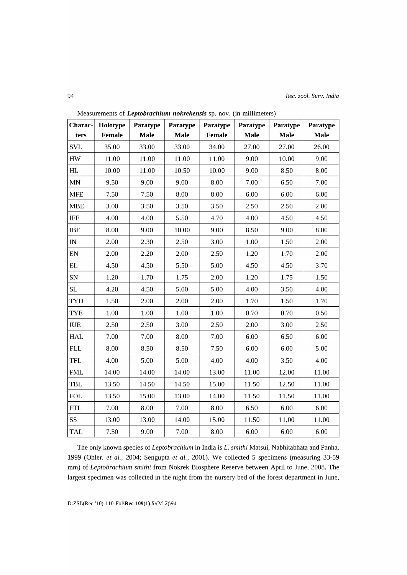| Charac-                  | Holotype | Paratype    | Paratype    | Paratype | Paratype    | Paratype    | Paratype    |
|--------------------------|----------|-------------|-------------|----------|-------------|-------------|-------------|
| ters                     | Female   | <b>Male</b> | <b>Male</b> | Female   | <b>Male</b> | <b>Male</b> | <b>Male</b> |
| <b>SVL</b>               | 35.00    | 33.00       | 33.00       | 34.00    | 27.00       | 27.00       | 26.00       |
| HW                       | 11.00    | 11.00       | 11.00       | 11.00    | 9.00        | 10.00       | 9.00        |
| HL                       | 10.00    | 11.00       | 10.50       | 10.00    | 9.00        | 8.50        | 8.00        |
| MN                       | 9.50     | 9.00        | 9.00        | 8.00     | 7.00        | 6.50        | 7.00        |
| <b>MFE</b>               | 7.50     | 7.50        | 8.00        | 8.00     | 6.00        | 6.00        | 6.00        |
| <b>MBE</b>               | 3.00     | 3.50        | 3.50        | 3.50     | 2.50        | 2.50        | 2.00        |
| <b>IFE</b>               | 4.00     | 4.00        | 5.50        | 4.70     | 4.00        | 4.50        | 4.50        |
| IBE                      | 8.00     | 9.00        | 10.00       | 9.00     | 8.50        | 9.00        | 8.00        |
| $\ensuremath{\text{IN}}$ | 2.00     | 2.30        | 2.50        | 3.00     | 1.00        | 1.50        | 2.00        |
| ${\rm EN}$               | 2.00     | 2.20        | 2.00        | 2.50     | 1.20        | 1.70        | 2.00        |
| EL                       | 4.50     | 4.50        | 5.50        | 5.00     | 4.50        | 4.50        | 3.70        |
| SN                       | 1.20     | 1.70        | 1.75        | 2.00     | 1.20        | 1.75        | 1.50        |
| SL                       | 4.20     | 4.50        | 5.00        | 5.00     | 4.00        | 3.50        | 4.00        |
| <b>TYD</b>               | 1.50     | 2.00        | 2.00        | 2.00     | 1.70        | 1.50        | 1.70        |
| <b>TYE</b>               | $1.00\,$ | $1.00\,$    | 1.00        | $1.00\,$ | 0.70        | 0.70        | 0.50        |
| <b>IUE</b>               | 2.50     | 2.50        | 3.00        | 2.50     | 2.00        | 3.00        | 2.50        |
| <b>HAL</b>               | 7.00     | 7.00        | 8.00        | 7.00     | 6.00        | 6.50        | 6.00        |
| <b>FLL</b>               | 8.00     | 8.50        | 8.50        | 7.50     | 6.00        | 6.00        | 5.00        |
| <b>TFL</b>               | 4.00     | 5.00        | 5.00        | 4.00     | 4.00        | 3.50        | 4.00        |
| <b>FML</b>               | 14.00    | 14.00       | 14.00       | 13.00    | 11.00       | 12.00       | 11.00       |
| <b>TBL</b>               | 13.50    | 14.50       | 14.50       | 15.00    | 11.50       | 12.50       | 11.00       |
| <b>FOL</b>               | 13.50    | 15.00       | 13.00       | 14.00    | 11.50       | 11.50       | 11.00       |
| ${\rm FTL}$              | 7.00     | 8.00        | 7.00        | 8.00     | 6.50        | 6.00        | 6.00        |
| SS                       | 13.00    | 13.00       | 14.00       | 15.00    | 11.50       | 11.00       | 11.00       |
| <b>TAL</b>               | 7.50     | 9.00        | 7.00        | 8.00     | 6.00        | 6.00        | 6.00        |

Measurements of *Leptobrachium nokrekensis* sp. nov. (in millimeters)

The only known species of *Leptobrachium* in India is *L. smithi* Matsui, Nabhitabhata and Panha, 1999 (Ohler. *et al.*, 2004; Sengupta *et al.*, 2001). We collected 5 specimens (measuring 33-59 mm) of *Leptobrachium smithi* from Nokrek Biosphere Reserve between April to June, 2008. The largest specimen was collected in the night from the nursery bed of the forest department in June,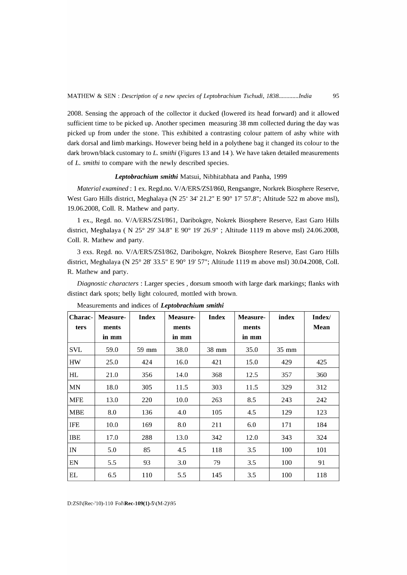2008. Sensing the approach of the collector it ducked (lowered its head forward) and it allowed sufficient time to be picked up. Another specimen measuring 38 mm collected during the day was picked up from under the stone. This exhibited a contrasting colour pattern of ashy white with dark dorsal and limb markings. However being held in a polythene bag it changed its colour to the dark brown/black customary to L. *smithi* (Figures 13 and 14). We have taken detailed measurements of L. *smithi* to compare with the newly described species.

## *Leptobrachium smithi* Matsui, Nibhitabhata and Panha, 1999

*Material examined:* 1 ex. Regd.no. *V/A/ERS/ZSI/860,* Rengsangre, Norkrek Biosphere Reserve, West Garo Hills district, Meghalaya (N 25° 34' 21.2" E 90° 17' 57.8"; Altitude 522 m above msl), 19.06.2008, ColI. R. Mathew and party.

1 ex., Regd. no. *VI A/ERS/ZSI/861,* Daribokgre, Nokrek Biosphere Reserve, East Garo Hills district, Meghalaya ( N 25° 29' 34.8" E 90° 19' 26.9" ; Altitude 1119 m above msl) 24.06.2008, ColI. R. Mathew and party.

3 exs. Regd. no. *V/A/ERS/ZSII862,* Daribokgre, Nokrek Biosphere Reserve, East Garo Hills district, Meghalaya (N 25° 28' 33.5" E 90° 19' 57"; Altitude 1119 m above msl) 30.04.2008, ColI. R. Mathew and party.

*Diagnostic characters* : Larger species, dorsum smooth with large dark markings; flanks with distinct dark spots; belly light coloured, mottled with brown.

| Charac- | Measure-       | <b>Index</b> | <b>Measure-</b> | <b>Index</b> | Measure-       | index | Index/ |
|---------|----------------|--------------|-----------------|--------------|----------------|-------|--------|
| ters    | ments<br>in mm |              | ments<br>in mm  |              | ments<br>in mm |       | Mean   |
| SVL     | 59.0           | 59 mm        | 38.0            | 38 mm        | 35.0           | 35 mm |        |
| HW      | 25.0           | 424          | 16.0            | 421          | 15.0           | 429   | 425    |
| HL      | 21.0           | 356          | 14.0            | 368          | 12.5           | 357   | 360    |
| MN      | 18.0           | 305          | 11.5            | 303          | 11.5           | 329   | 312    |
| MFE     | 13.0           | 220          | 10.0            | 263          | 8.5            | 243   | 242    |
| MBE     | 8.0            | 136          | 4.0             | 105          | 4.5            | 129   | 123    |
| IFE     | 10.0           | 169          | 8.0             | 211          | 6.0            | 171   | 184    |
| IBE     | 17.0           | 288          | 13.0            | 342          | 12.0           | 343   | 324    |
| IN      | 5.0            | 85           | 4.5             | 118          | 3.5            | 100   | 101    |
| EN      | 5.5            | 93           | 3.0             | 79           | 3.5            | 100   | 91     |
| ЕL      | 6.5            | 110          | 5.5             | 145          | 3.5            | 100   | 118    |

Measurements and indices of *Leptobrachium smithi*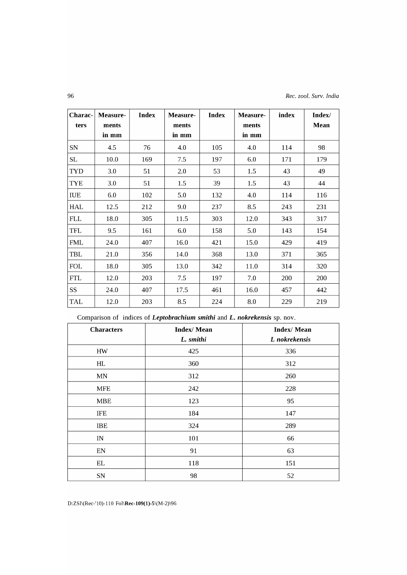| Charac-        | Measure- | <b>Index</b> | Measure- | <b>Index</b> | <b>Measure-</b> | index | Index/ |
|----------------|----------|--------------|----------|--------------|-----------------|-------|--------|
| ters           | ments    |              | ments    |              | ments           |       | Mean   |
|                | in mm    |              | in mm    |              | in mm           |       |        |
| <b>SN</b>      | 4.5      | 76           | 4.0      | 105          | 4.0             | 114   | 98     |
| SL             | 10.0     | 169          | 7.5      | 197          | 6.0             | 171   | 179    |
| <b>TYD</b>     | 3.0      | 51           | 2.0      | 53           | 1.5             | 43    | 49     |
| <b>TYE</b>     | 3.0      | 51           | 1.5      | 39           | 1.5             | 43    | 44     |
| IUE            | 6.0      | 102          | 5.0      | 132          | 4.0             | 114   | 116    |
| HAL            | 12.5     | 212          | 9.0      | 237          | 8.5             | 243   | 231    |
| FLL            | 18.0     | 305          | 11.5     | 303          | 12.0            | 343   | 317    |
| <b>TFL</b>     | 9.5      | 161          | 6.0      | 158          | 5.0             | 143   | 154    |
| <b>FML</b>     | 24.0     | 407          | 16.0     | 421          | 15.0            | 429   | 419    |
| TBL            | 21.0     | 356          | 14.0     | 368          | 13.0            | 371   | 365    |
| FOL            | 18.0     | 305          | 13.0     | 342          | 11.0            | 314   | 320    |
| <b>FTL</b>     | 12.0     | 203          | 7.5      | 197          | 7.0             | 200   | 200    |
| SS <sub></sub> | 24.0     | 407          | 17.5     | 461          | 16.0            | 457   | 442    |
| TAL            | 12.0     | 203          | 8.5      | 224          | 8.0             | 229   | 219    |

Comparison of indices of *Leptobrachium smithi* and **L.** *nokrekensis* sp. nov.

| <b>Characters</b> | <b>Index/Mean</b><br>L. smithi | <b>Index/Mean</b><br>L nokrekensis |
|-------------------|--------------------------------|------------------------------------|
| HW                | 425                            | 336                                |
| HL                | 360                            | 312                                |
| MN                | 312                            | 260                                |
| <b>MFE</b>        | 242                            | 228                                |
| <b>MBE</b>        | 123                            | 95                                 |
| <b>IFE</b>        | 184                            | 147                                |
| <b>IBE</b>        | 324                            | 289                                |
| IN                | 101                            | 66                                 |
| EN                | 91                             | 63                                 |
| EL.               | 118                            | 151                                |
| SN                | 98                             | 52                                 |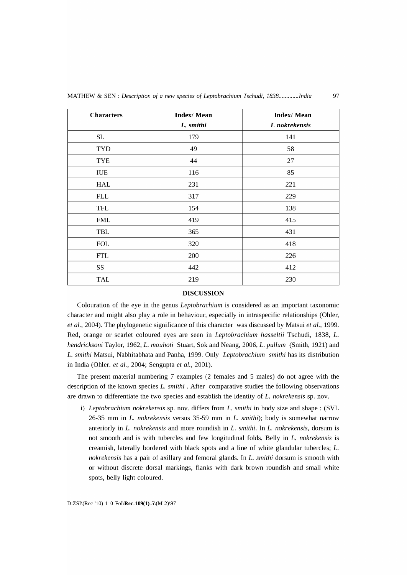| <b>Characters</b> | <b>Index/Mean</b><br>L. smithi | <b>Index/Mean</b><br>L nokrekensis |
|-------------------|--------------------------------|------------------------------------|
| SL                | 179                            | 141                                |
| <b>TYD</b>        | 49                             | 58                                 |
| <b>TYE</b>        | 44                             | 27                                 |
| IUE               | 116                            | 85                                 |
| HAL               | 231                            | 221                                |
| <b>FLL</b>        | 317                            | 229                                |
| <b>TFL</b>        | 154                            | 138                                |
| FML               | 419                            | 415                                |
| TBL               | 365                            | 431                                |
| <b>FOL</b>        | 320                            | 418                                |
| <b>FTL</b>        | 200                            | 226                                |
| SS                | 442                            | 412                                |
| <b>TAL</b>        | 219                            | 230                                |

#### **DISCUSSION**

Colouration of the eye in the genus *Leptobrachium* is considered as an important taxonomic character and might also playa role in behaviour, especially in intraspecific relationships (Ohler, *et al., 2004*). The phylogenetic significance of this character was discussed by Matsui *et al.*, 1999. Red, orange or scarlet coloured eyes are seen in *Leptobrachium hosseltii* Tschudi, 1838, L. *hendricksoni* Taylor, 1962, L. *mouhoti* Stuart, Sok and Neang, 2006, L. *pullum* (Smith, 1921) and L. *smithi* Matsui, Nabhitabhata and Panha, 1999. Only *Leptobrachium smithi* has its distribution in India (Ohler. *et al.*, 2004; Sengupta *et al.*, 2001).

The present material numbering 7 examples (2 females and 5 males) do not agree with the description of the known species L. *smithi* . After comparative studies the following observations are drawn to differentiate the two species and establish the identity of L. *nokrekensis* sp. nov.

i) *Leptobrachium nokrekensis* sp. nov. differs from L. *smithi* in body size and shape: (SVL 26-35 mm in L. *nokrekensis* versus 35-59 mm in L. *smithi);* body is somewhat narrow anteriorly in L. *nokrekensis* and more roundish in L. *smithi.* In L. *nokrekensis,* dorsum is not smooth and is with tubercles and few longitudinal folds. Belly in L. *nokrekensis* is creamish, laterally bordered with black spots and a line of white glandular tubercles; L. *nokrekensis* has a pair of axillary and femoral glands. In L. *smithi* dorsum is smooth with or without discrete dorsal markings, flanks with dark brown roundish and small white spots, belly light coloured.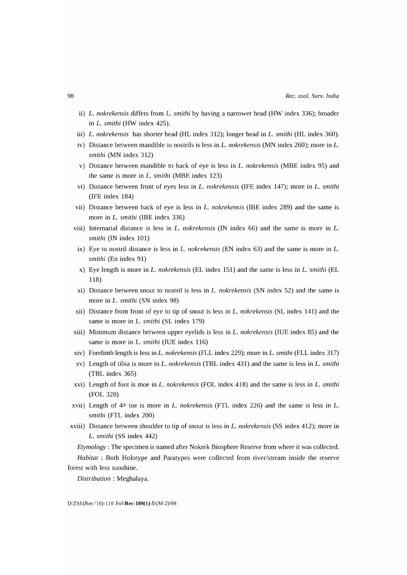- ii) *L. nokrekensis* differs from *L. smithi* by having a narrower head (HW index 336); broader in *L. smithi* (HW index 425).
- iii) *L. nokrekensis* has shorter head (HL index 312); longer head in *L. smithi* (HL index 360).
- iv) Distance between mandible to nostrils is less in *L. nokrekensis* (MN index 260); more in *L. smithi* (MN index 312)
- v) Distance between mandible to back of eye is less in *L. nokrekensis* (MBE index 95) and the same is more in *L. smithi* (MBE index 123)
- vi) Distance between front of eyes less in *L. nokrekensis* (IFE index 147); more in *L. smithi*  (IFE index 184)
- vii) Distance between back of eye is less in *L. nokrekensis* (IBE index 289) and the same is more in *L. smithi* (IBE index 336)
- viii) Internarial distance is less in *L. nokrekensis* (IN index 66) and the same is more in *L. smithi* (IN index 101)
- ix) Eye to nostril distance is less in *L. nokrekensis* (EN index 63) and the same is more in *L. smithi* (En index 91)
- x) Eye length is more in *L. nokrekensis* (EL index 151) and the same is less in *L. smithi* (EL 118)
- xi) Distance between snout to nostril is less in *L. nokrekensis* (SN index 52) and the same is more in *L. smithi* (SN index 98)
- xii) Distance from front of eye to tip of snout is less in *L. nokrekensis* (SL index 141) and the same is more in *L*. smithi (SL index 179)
- xiii) Minimum distance between upper eyelids is less in *L. nokrekensis* (IUE index 85) and the same is more in *L*. smithi (IUE index 116)
- xiv) Forelimb length is less in *L. nokrekensis* (FLL index 229); more in *L. smithi* (FLL index 317)
- xv) Length of tibia is more in *L. nokrekensis* (TBL index 431) and the same is less in *L. smithi*  (TBL index 365)
- xvi) Length of foot is moe in *L. nokrekensis* (FOL index 418) and the same is less in *L. smithi*  (FOL 320)
- xvii) Length of 4th toe is more in *L. nokrekensis* (FTL index 226) and the same is less in *L. smithi* (FTL index 200)
- xviii) Distance between shoulder to tip of snout is less in *L. nokrekensis* (SS index 412); more in *L. smithi* (SS index 442)

*Etymology*: The specimen is named after Nokrek Biosphere Reserve from where it was collected. *Habitat:* Both Holotype and Paratypes were collected from river/stream inside the reserve forest with less sunshine.

*Distribution* : Meghalaya.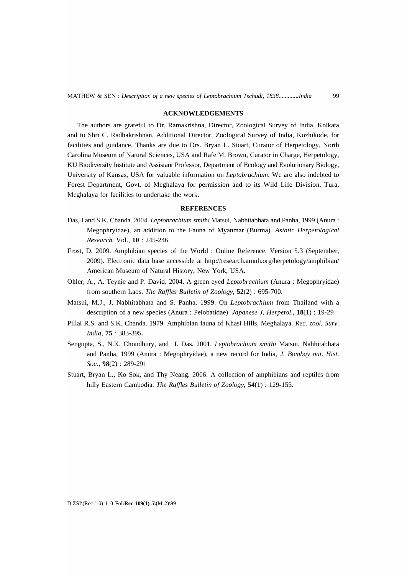#### ACKNOWLEDGEMENTS

The authors are grateful to Dr. Ramakrishna, Director, Zoological Survey of India, Kolkata and to Shri C. Radhakrishnan, Additional Director, Zoological Survey of India, Kozhikode, for facilities and guidance. Thanks are due to Drs. Bryan L. Stuart, Curator of Herpetology, North Carolina Museum of Natural Sciences, USA and Rafe M. Brown, Curator in Charge, Herpetology, KU Biodiversity Institute and Assistant Professor, Department of Ecology and Evolutionary Biology, University of Kansas, USA for valuable information on *Leptobrachium.* We are also indebted to Forest Department, Govt. of Meghalaya for permission and to its Wild Life Division, Tura, Meghalaya for facilities to undertake the work.

## **REFERENCES**

- Das, I and S.K. Chanda. 2004. *Leptobrachium smithi* Matsui, Nabhitabhata and Panha, 1999 (Anura: Megophryidae), an addition to the Fauna of Myanmar (Burma). *Asiatic Herpetological Research.* Vol., **10** : 245-246.
- Frost, D. 2009. Amphibian species of the World: Online Reference. Version 5.3 (September, 2009). Electronic data base accessible at http://research.amnh.org/herpetology/amphibian/ American Museum of Natural History, New York, USA.
- Ohler, A., A. Teynie and P. David. 2004. A green eyed *Leptobrachium* (Anura: Megophryidae) from southern Laos. *The Raffles Bulletin* of *Zoology,* 52(2) : 695-700.
- Matsui, M.J., J. Nabhitabhata and S. Panha. 1999. On *Leptobrachium* from Thailand with a description of a new species (Anura: Pelobatidae). *Japanese* J. *Herpetol.,* 18(1) : 19-29
- Pillai R.S. and S.K. Chanda. 1979. Amphibian fauna of Khasi Hills, Meghalaya. *Rec. zool. Surv. India,* 75 : 383-395.
- Sengupta, S., N.K. Choudhury, and 1. Das. 2001. *Leptobrachium smithi* Matsui, Nabhitabhata and Panha, 1999 (Anura: Megophryidae), a new record for India, J. *Bombay nat. Hist. Soc.,* 98(2) : 289-291
- Stuart, Bryan L., Ko Sok, and Thy Neang. 2006. A collection of amphibians and reptiles from hilly Eastern Cambodia. *The Raffles Bulletin* of *Zoology,* 54(1) : 129-155.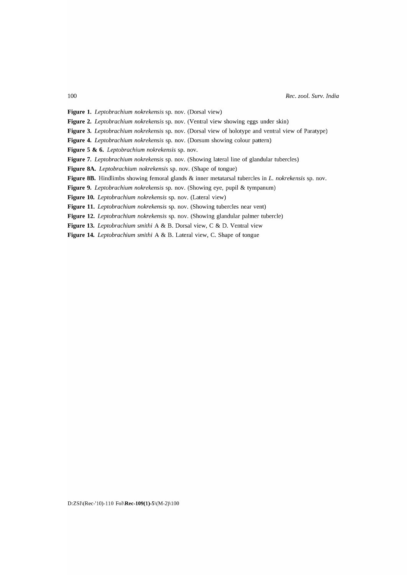**Figure 1.** *Leptobrachium nokrekensis* sp. nov. (Dorsal view)

**Figure 2.** *Leptobrachium nokrekensis* sp. nov. (Ventral view showing eggs under skin)

**Figure 3.** *Leptobrachium nokrekensis* sp. nov. (Dorsal view of holotype and ventral view of Paratype)

**Figure 4.** *Leptobrachium nokrekensis* sp. nov. (Dorsum showing colour pattern)

**Figure 5 & 6.** *Leptobrachium nokrekensis* sp. nov.

**Figure 7.** *Leptobrachium nokrekensis* sp. nov. (Showing lateral line of glandular tubercles)

**Figure 8A.** *Leptobrachium nokrekensis* sp. nov. (Shape of tongue)

**Figure OB.** Hindlimbs showing femoral glands & inner metatarsal tubercles in *L. nokrekensis* sp. nov.

**Figure 9.** *Leptobrachium nokrekensis* sp. nov. (Showing eye, pupil & tympanum)

**Figure 10.** *Leptobrachium nokrekensis* sp. nov. (Lateral view)

**Figure 11.** *Leptobrachium nokrekensis* sp. nov. (Showing tubercles near vent)

**Figure 12.** *Leptobrachium nokrekensis* sp. nov. (Showing glandular palmer tubercle)

**Figure 13.** *Leptobrachium smithi* A & B. Dorsal view, C & D. Ventral view

**Figure 14.** *Leptobrachium smithi* A & B. Lateral view, C. Shape of tongue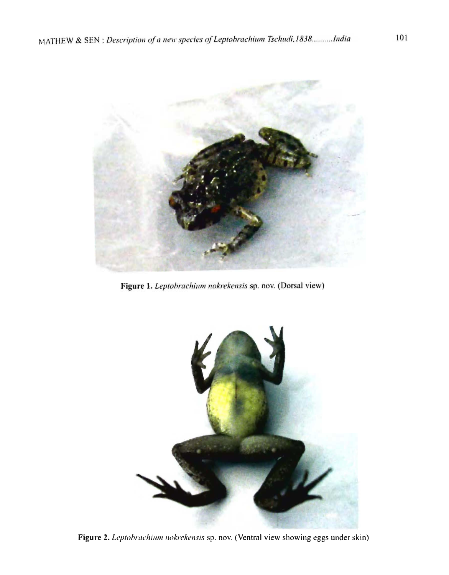

Figure 1. Leptobrachium nokrekensis sp. nov. (Dorsal view)



Figure 2. Leptobrachium nokrekensis sp. nov. (Ventral view showing eggs under skin)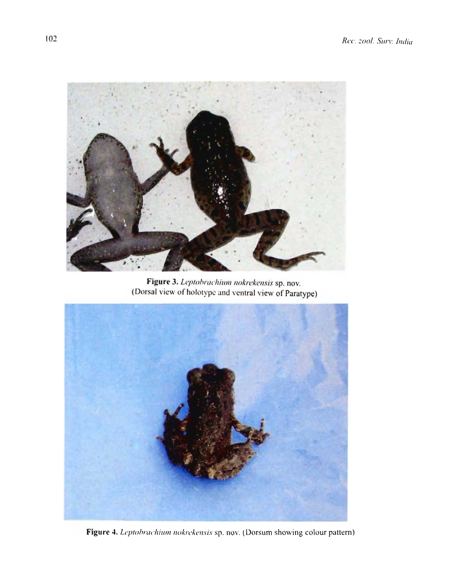

Figure 3. Leptobrachium nokrekensis sp. nov.<br>(Dorsal view of holotype and ventral view of Paratype)



Figure 4. Leptobrachium nokrekensis sp. nov. (Dorsum showing colour pattern)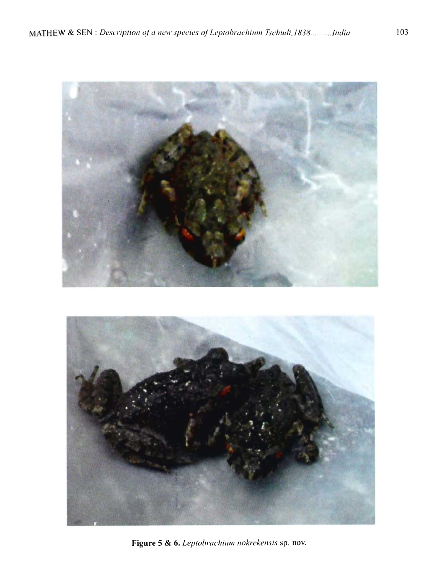

Figure 5 & 6. *Leptobrachium nokrekensis* sp. nov.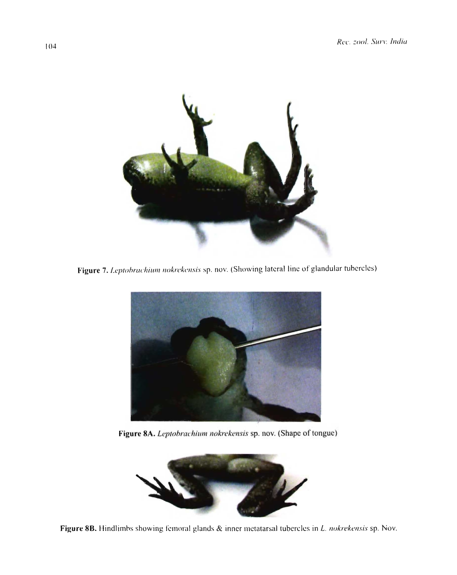

Figure 7. Leptohrachium nokrekensis sp. nov. (Showing lateral line of glandular tubercles)



Figure 8A. Leptobrachium nokrekensis sp. nov. (Shape of tongue)



Figure 8B. Hindlimbs showing femoral glands  $\&$  inner metatarsal tubercles in *L. nokrekensis* sp. Nov.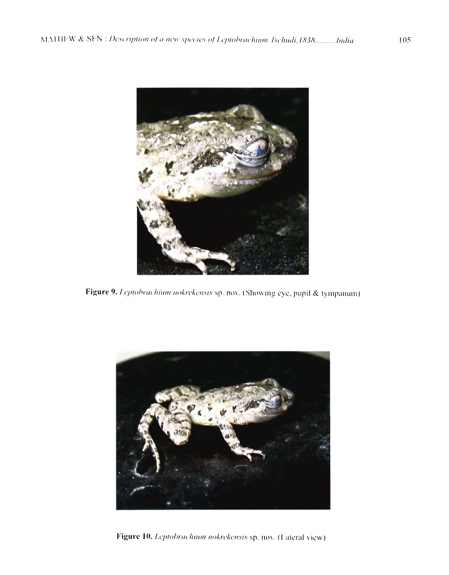

Figure 9. Leptobrachium nokrekensis sp. nov. (Showing eye, pupil & tympanum)



Figure 10. Leptobrachium nokrekensis sp. nov. (Lateral view)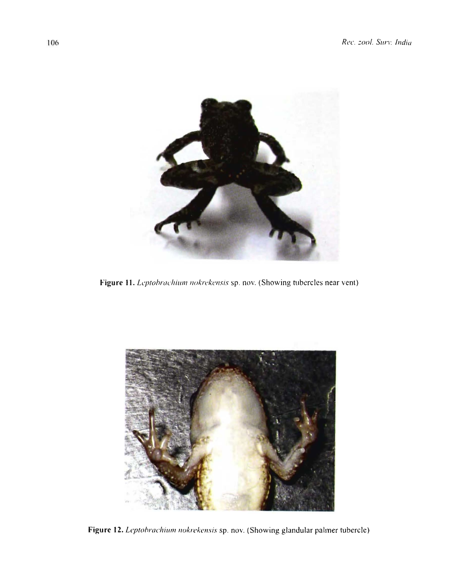

Figure 11. Leptobrachium nokrekensis sp. nov. (Showing tubercles near vent)



Figure 12. Leptobrachium nokrekensis sp. nov. (Showing glandular palmer tubercle)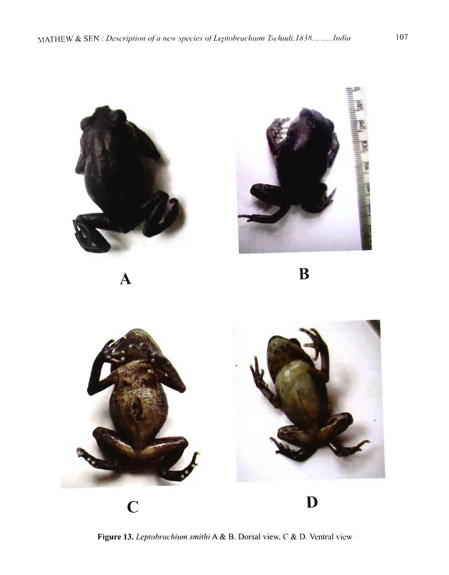

Figure 13. Leptobrachium smithi A & B. Dorsal view, C & D. Ventral view